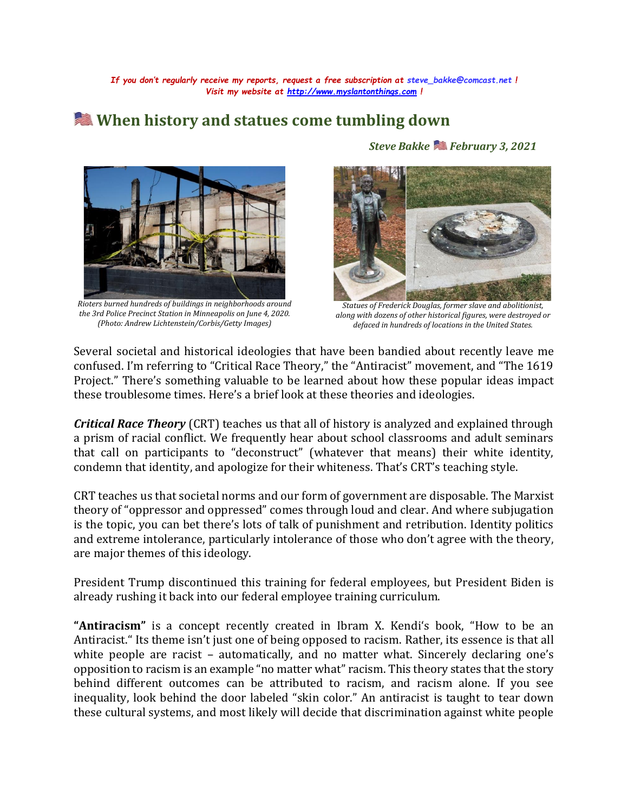*If you don't regularly receive my reports, request a free subscription at [steve\\_bakke@comcast.net](mailto:steve_bakke@comcast.net) ! Visit my website at [http://www.myslantonthings.com](http://www.myslantonthings.com/) !*

## **When history and statues come tumbling down**



*Rioters burned hundreds of buildings in neighborhoods around the 3rd Police Precinct Station in Minneapolis on June 4, 2020. (Photo: Andrew Lichtenstein/Corbis/Getty Images)*

*Steve Bakke February 3, 2021*



*Statues of Frederick Douglas, former slave and abolitionist, along with dozens of other historical figures, were destroyed or defaced in hundreds of locations in the United States.*

Several societal and historical ideologies that have been bandied about recently leave me confused. I'm referring to "Critical Race Theory," the "Antiracist" movement, and "The 1619 Project." There's something valuable to be learned about how these popular ideas impact these troublesome times. Here's a brief look at these theories and ideologies.

*Critical Race Theory* (CRT) teaches us that all of history is analyzed and explained through a prism of racial conflict. We frequently hear about school classrooms and adult seminars that call on participants to "deconstruct" (whatever that means) their white identity, condemn that identity, and apologize for their whiteness. That's CRT's teaching style.

CRT teaches us that societal norms and our form of government are disposable. The Marxist theory of "oppressor and oppressed" comes through loud and clear. And where subjugation is the topic, you can bet there's lots of talk of punishment and retribution. Identity politics and extreme intolerance, particularly intolerance of those who don't agree with the theory, are major themes of this ideology.

President Trump discontinued this training for federal employees, but President Biden is already rushing it back into our federal employee training curriculum.

**"Antiracism"** is a concept recently created in Ibram X. Kendi's book, "How to be an Antiracist." Its theme isn't just one of being opposed to racism. Rather, its essence is that all white people are racist - automatically, and no matter what. Sincerely declaring one's opposition to racism is an example "no matter what" racism. This theory states that the story behind different outcomes can be attributed to racism, and racism alone. If you see inequality, look behind the door labeled "skin color." An antiracist is taught to tear down these cultural systems, and most likely will decide that discrimination against white people